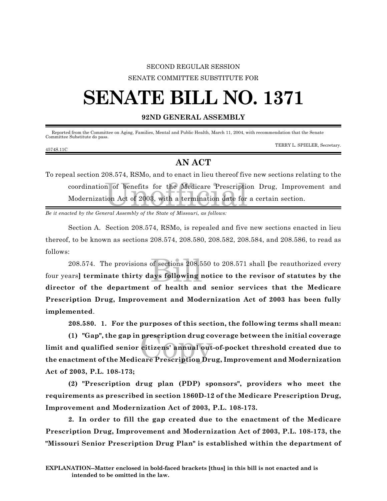## SECOND REGULAR SESSION SENATE COMMITTEE SUBSTITUTE FOR

# **SENATE BILL NO. 1371**

#### **92ND GENERAL ASSEMBLY**

Reported from the Committee on Aging, Families, Mental and Public Health, March 11, 2004, with recommendation that the Senate Committee Substitute do pass.

#### 4574S.11C

TERRY L. SPIELER, Secretary.

### **AN ACT**

n of benefits for the Medicare Prescription<br>ion Act of 2003, with a termination date for To repeal section 208.574, RSMo, and to enact in lieu thereof five new sections relating to the coordination of benefits for the Medicare Prescription Drug, Improvement and Modernization Act of 2003, with a termination date for a certain section.

*Be it enacted by the General Assembly of the State of Missouri, as follows:*

Section A. Section 208.574, RSMo, is repealed and five new sections enacted in lieu thereof, to be known as sections 208.574, 208.580, 208.582, 208.584, and 208.586, to read as follows:

208.574. The provisions of sections 208.550 to 208.571 shall [be reauthorized every ars] terminate thirty days following notice to the revisor of statutes by the four years**] terminate thirty days following notice to the revisor of statutes by the director of the department of health and senior services that the Medicare Prescription Drug, Improvement and Modernization Act of 2003 has been fully implemented**.

**208.580. 1. For the purposes of this section, the following terms shall mean:**

prescription drug co<br>citizens' annual out<br>care Prescription Dru **(1) "Gap", the gap in prescription drug coverage between the initial coverage limit and qualified senior citizens' annual out-of-pocket threshold created due to the enactment of the Medicare Prescription Drug, Improvement and Modernization Act of 2003, P.L. 108-173;**

**(2) "Prescription drug plan (PDP) sponsors", providers who meet the requirements as prescribed in section 1860D-12 of the Medicare Prescription Drug, Improvement and Modernization Act of 2003, P.L. 108-173.**

**2. In order to fill the gap created due to the enactment of the Medicare Prescription Drug, Improvement and Modernization Act of 2003, P.L. 108-173, the "Missouri Senior Prescription Drug Plan" is established within the department of**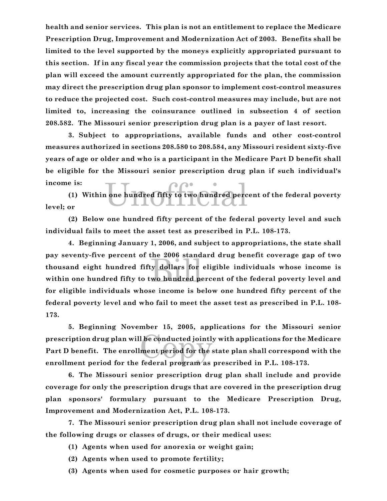**health and senior services. This plan is not an entitlement to replace the Medicare Prescription Drug, Improvement and Modernization Act of 2003. Benefits shall be limited to the level supported by the moneys explicitly appropriated pursuant to this section. If in any fiscal year the commission projects that the total cost of the plan will exceed the amount currently appropriated for the plan, the commission may direct the prescription drug plan sponsor to implement cost-control measures to reduce the projected cost. Such cost-control measures may include, but are not limited to, increasing the coinsurance outlined in subsection 4 of section 208.582. The Missouri senior prescription drug plan is a payer of last resort.**

**3. Subject to appropriations, available funds and other cost-control measures authorized in sections 208.580 to 208.584, any Missouri resident sixty-five years of age or older and who is a participant in the Medicare Part D benefit shall be eligible for the Missouri senior prescription drug plan if such individual's income is:**

undred fifty to two hundred perc **(1) Within one hundred fifty to two hundred percent of the federal poverty level; or**

**(2) Below one hundred fifty percent of the federal poverty level and such individual fails to meet the asset test as prescribed in P.L. 108-173.**

the 2006 stand<br>billars for<br>wo hundred po **4. Beginning January 1, 2006, and subject to appropriations, the state shall pay seventy-five percent of the 2006 standard drug benefit coverage gap of two thousand eight hundred fifty dollars for eligible individuals whose income is within one hundred fifty to two hundred percent of the federal poverty level and for eligible individuals whose income is below one hundred fifty percent of the federal poverty level and who fail to meet the asset test as prescribed in P.L. 108- 173.**

l be conducted jointly<br>ment period for the s **5. Beginning November 15, 2005, applications for the Missouri senior prescription drug plan will be conducted jointly with applications for the Medicare Part D benefit. The enrollment period for the state plan shall correspond with the enrollment period for the federal program as prescribed in P.L. 108-173.**

**6. The Missouri senior prescription drug plan shall include and provide coverage for only the prescription drugs that are covered in the prescription drug plan sponsors' formulary pursuant to the Medicare Prescription Drug, Improvement and Modernization Act, P.L. 108-173.**

**7. The Missouri senior prescription drug plan shall not include coverage of the following drugs or classes of drugs, or their medical uses:**

- **(1) Agents when used for anorexia or weight gain;**
- **(2) Agents when used to promote fertility;**
- **(3) Agents when used for cosmetic purposes or hair growth;**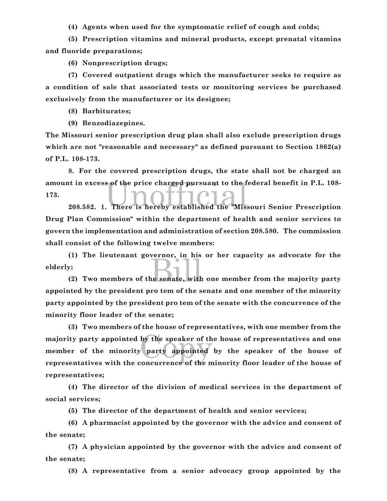**(4) Agents when used for the symptomatic relief of cough and colds;**

**(5) Prescription vitamins and mineral products, except prenatal vitamins and fluoride preparations;**

**(6) Nonprescription drugs;**

**(7) Covered outpatient drugs which the manufacturer seeks to require as a condition of sale that associated tests or monitoring services be purchased exclusively from the manufacturer or its designee;**

**(8) Barbiturates;**

**(9) Benzodiazepines.**

**The Missouri senior prescription drug plan shall also exclude prescription drugs which are not "reasonable and necessary" as defined pursuant to Section 1862(a) of P.L. 108-173.**

at in excess of the price charged pursuant to the federal benefit in P.L. 108-<br>208.582. 1. There is hereby established the "Missouri Senior Prescription **8. For the covered prescription drugs, the state shall not be charged an amount in excess of the price charged pursuant to the federal benefit in P.L. 108- 173.**

**Drug Plan Commission" within the department of health and senior services to govern the implementation and administration of section 208.580. The commission shall consist of the following twelve members:**

extraor, in mis-**(1) The lieutenant governor, in his or her capacity as advocate for the elderly;**

**(2) Two members of the senate, with one member from the majority party appointed by the president pro tem of the senate and one member of the minority party appointed by the president pro tem of the senate with the concurrence of the minority floor leader of the senate;**

by the speaker of the party appointed **(3) Two members of the house of representatives, with one member from the majority party appointed by the speaker of the house of representatives and one member of the minority party appointed by the speaker of the house of representatives with the concurrence of the minority floor leader of the house of representatives;**

**(4) The director of the division of medical services in the department of social services;**

**(5) The director of the department of health and senior services;**

**(6) A pharmacist appointed by the governor with the advice and consent of the senate;**

**(7) A physician appointed by the governor with the advice and consent of the senate;**

**(8) A representative from a senior advocacy group appointed by the**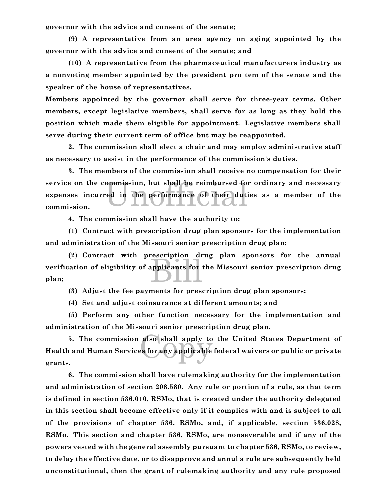**governor with the advice and consent of the senate;**

**(9) A representative from an area agency on aging appointed by the governor with the advice and consent of the senate; and**

**(10) A representative from the pharmaceutical manufacturers industry as a nonvoting member appointed by the president pro tem of the senate and the speaker of the house of representatives.**

**Members appointed by the governor shall serve for three-year terms. Other members, except legislative members, shall serve for as long as they hold the position which made them eligible for appointment. Legislative members shall serve during their current term of office but may be reappointed.**

**2. The commission shall elect a chair and may employ administrative staff as necessary to assist in the performance of the commission's duties.**

ommission, but shall be reimbursed for<br>red in the performance of their duties **3. The members of the commission shall receive no compensation for their service on the commission, but shall be reimbursed for ordinary and necessary expenses incurred in the performance of their duties as a member of the commission.**

**4. The commission shall have the authority to:**

**(1) Contract with prescription drug plan sponsors for the implementation and administration of the Missouri senior prescription drug plan;**

applicants for **(2) Contract with prescription drug plan sponsors for the annual verification of eligibility of applicants for the Missouri senior prescription drug plan;**

**(3) Adjust the fee payments for prescription drug plan sponsors;**

**(4) Set and adjust coinsurance at different amounts; and**

**(5) Perform any other function necessary for the implementation and administration of the Missouri senior prescription drug plan.**

also shall apply to<br>es for any applicable **5. The commission also shall apply to the United States Department of Health and Human Services for any applicable federal waivers or public or private grants.**

**6. The commission shall have rulemaking authority for the implementation and administration of section 208.580. Any rule or portion of a rule, as that term is defined in section 536.010, RSMo, that is created under the authority delegated in this section shall become effective only if it complies with and is subject to all of the provisions of chapter 536, RSMo, and, if applicable, section 536.028, RSMo. This section and chapter 536, RSMo, are nonseverable and if any of the powers vested with the general assembly pursuant to chapter 536, RSMo, to review, to delay the effective date, or to disapprove and annul a rule are subsequently held unconstitutional, then the grant of rulemaking authority and any rule proposed**